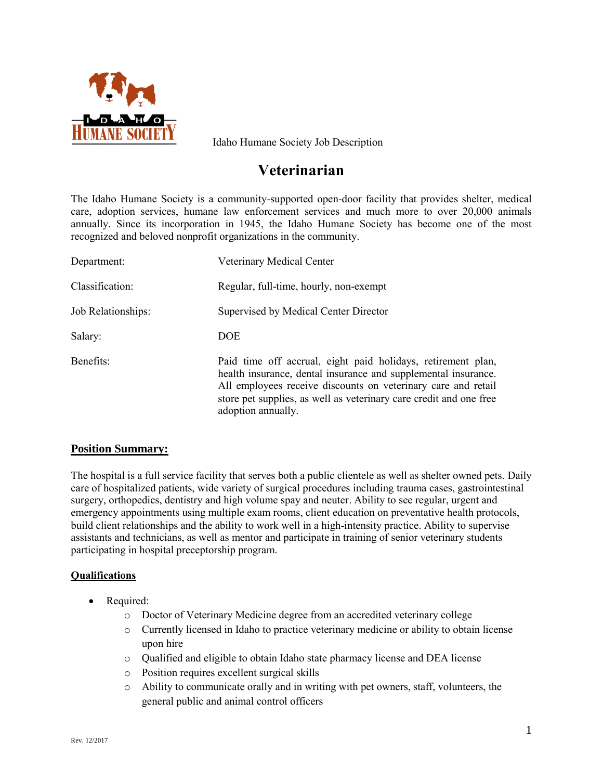

Idaho Humane Society Job Description

# **Veterinarian**

The Idaho Humane Society is a community-supported open-door facility that provides shelter, medical care, adoption services, humane law enforcement services and much more to over 20,000 animals annually. Since its incorporation in 1945, the Idaho Humane Society has become one of the most recognized and beloved nonprofit organizations in the community.

| Department:        | Veterinary Medical Center                                                                                                                                                                                                                                                                   |
|--------------------|---------------------------------------------------------------------------------------------------------------------------------------------------------------------------------------------------------------------------------------------------------------------------------------------|
| Classification:    | Regular, full-time, hourly, non-exempt                                                                                                                                                                                                                                                      |
| Job Relationships: | Supervised by Medical Center Director                                                                                                                                                                                                                                                       |
| Salary:            | <b>DOE</b>                                                                                                                                                                                                                                                                                  |
| Benefits:          | Paid time off accrual, eight paid holidays, retirement plan,<br>health insurance, dental insurance and supplemental insurance.<br>All employees receive discounts on veterinary care and retail<br>store pet supplies, as well as veterinary care credit and one free<br>adoption annually. |

## **Position Summary:**

The hospital is a full service facility that serves both a public clientele as well as shelter owned pets. Daily care of hospitalized patients, wide variety of surgical procedures including trauma cases, gastrointestinal surgery, orthopedics, dentistry and high volume spay and neuter. Ability to see regular, urgent and emergency appointments using multiple exam rooms, client education on preventative health protocols, build client relationships and the ability to work well in a high-intensity practice. Ability to supervise assistants and technicians, as well as mentor and participate in training of senior veterinary students participating in hospital preceptorship program.

## **Qualifications**

- Required:
	- o Doctor of Veterinary Medicine degree from an accredited veterinary college
	- o Currently licensed in Idaho to practice veterinary medicine or ability to obtain license upon hire
	- o Qualified and eligible to obtain Idaho state pharmacy license and DEA license
	- o Position requires excellent surgical skills
	- o Ability to communicate orally and in writing with pet owners, staff, volunteers, the general public and animal control officers